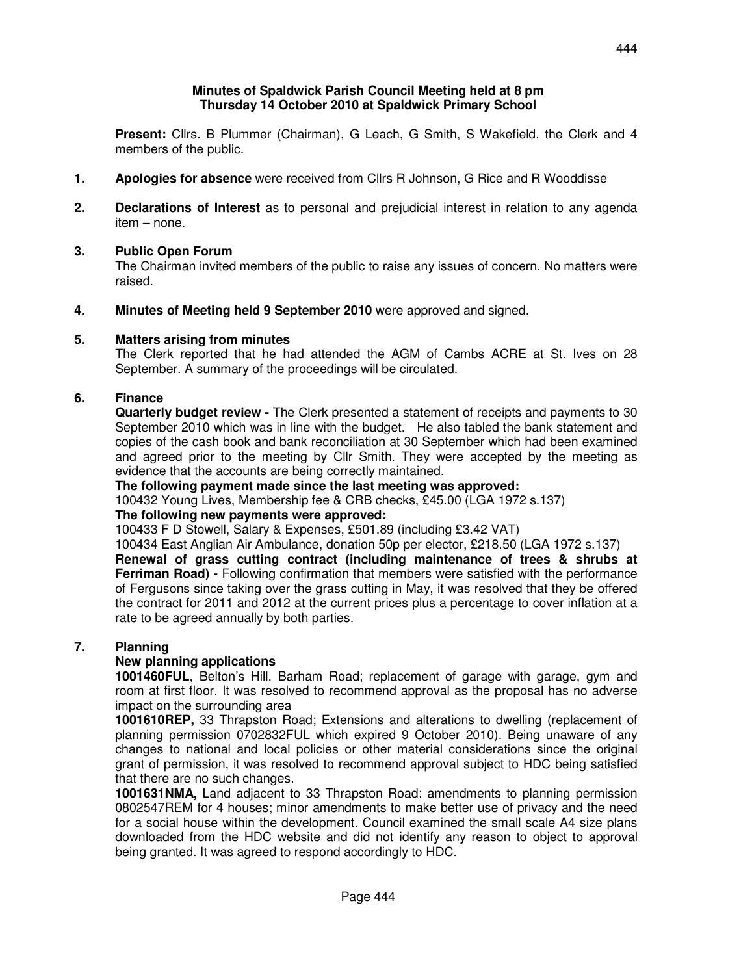### **Minutes of Spaldwick Parish Council Meeting held at 8 pm Thursday 14 October 2010 at Spaldwick Primary School**

 **Present:** Cllrs. B Plummer (Chairman), G Leach, G Smith, S Wakefield, the Clerk and 4 members of the public.

- **1. Apologies for absence** were received from Cllrs R Johnson, G Rice and R Wooddisse
- **2. Declarations of Interest** as to personal and prejudicial interest in relation to any agenda item – none.

## **3. Public Open Forum**

The Chairman invited members of the public to raise any issues of concern. No matters were raised.

**4. Minutes of Meeting held 9 September 2010** were approved and signed.

## **5. Matters arising from minutes**

 The Clerk reported that he had attended the AGM of Cambs ACRE at St. Ives on 28 September. A summary of the proceedings will be circulated.

## **6. Finance**

 **Quarterly budget review -** The Clerk presented a statement of receipts and payments to 30 September 2010 which was in line with the budget. He also tabled the bank statement and copies of the cash book and bank reconciliation at 30 September which had been examined and agreed prior to the meeting by Cllr Smith. They were accepted by the meeting as evidence that the accounts are being correctly maintained.

 **The following payment made since the last meeting was approved:** 

100432 Young Lives, Membership fee & CRB checks, £45.00 (LGA 1972 s.137)

# **The following new payments were approved:**

100433 F D Stowell, Salary & Expenses, £501.89 (including £3.42 VAT)

 100434 East Anglian Air Ambulance, donation 50p per elector, £218.50 (LGA 1972 s.137) **Renewal of grass cutting contract (including maintenance of trees & shrubs at** 

**Ferriman Road) -** Following confirmation that members were satisfied with the performance of Fergusons since taking over the grass cutting in May, it was resolved that they be offered the contract for 2011 and 2012 at the current prices plus a percentage to cover inflation at a rate to be agreed annually by both parties.

## **7. Planning**

## **New planning applications**

 **1001460FUL**, Belton's Hill, Barham Road; replacement of garage with garage, gym and room at first floor. It was resolved to recommend approval as the proposal has no adverse impact on the surrounding area

**1001610REP,** 33 Thrapston Road; Extensions and alterations to dwelling (replacement of planning permission 0702832FUL which expired 9 October 2010). Being unaware of any changes to national and local policies or other material considerations since the original grant of permission, it was resolved to recommend approval subject to HDC being satisfied that there are no such changes.

**1001631NMA,** Land adjacent to 33 Thrapston Road: amendments to planning permission 0802547REM for 4 houses; minor amendments to make better use of privacy and the need for a social house within the development. Council examined the small scale A4 size plans downloaded from the HDC website and did not identify any reason to object to approval being granted. It was agreed to respond accordingly to HDC.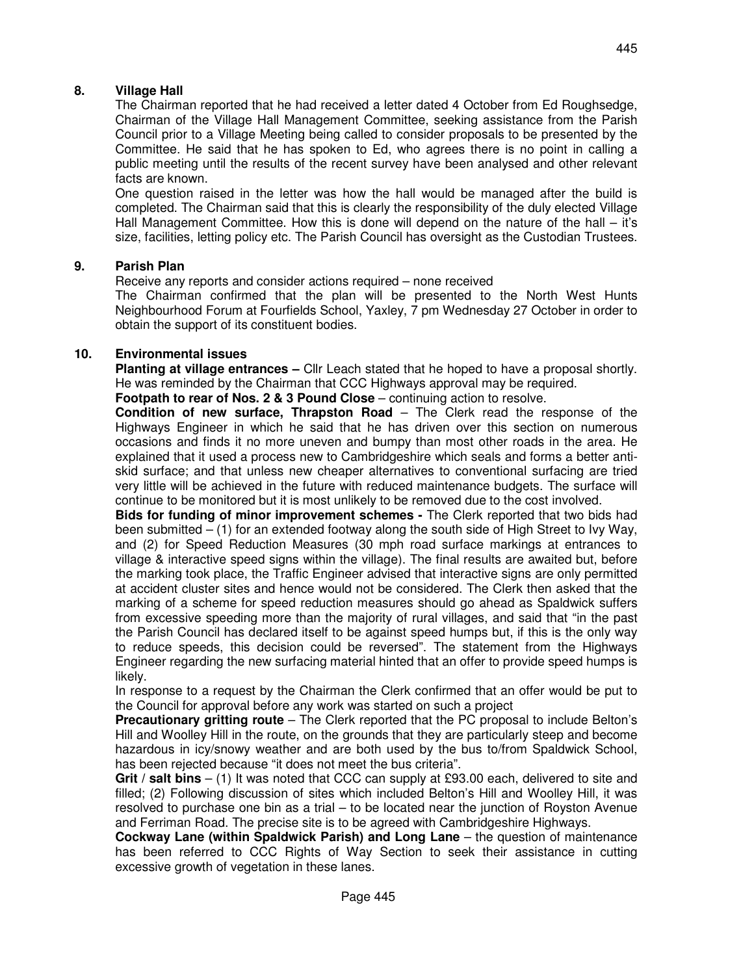## **8. Village Hall**

The Chairman reported that he had received a letter dated 4 October from Ed Roughsedge, Chairman of the Village Hall Management Committee, seeking assistance from the Parish Council prior to a Village Meeting being called to consider proposals to be presented by the Committee. He said that he has spoken to Ed, who agrees there is no point in calling a public meeting until the results of the recent survey have been analysed and other relevant facts are known.

 One question raised in the letter was how the hall would be managed after the build is completed. The Chairman said that this is clearly the responsibility of the duly elected Village Hall Management Committee. How this is done will depend on the nature of the hall – it's size, facilities, letting policy etc. The Parish Council has oversight as the Custodian Trustees.

## **9. Parish Plan**

Receive any reports and consider actions required – none received

 The Chairman confirmed that the plan will be presented to the North West Hunts Neighbourhood Forum at Fourfields School, Yaxley, 7 pm Wednesday 27 October in order to obtain the support of its constituent bodies.

## **10. Environmental issues**

**Planting at village entrances –** Cllr Leach stated that he hoped to have a proposal shortly. He was reminded by the Chairman that CCC Highways approval may be required.

**Footpath to rear of Nos. 2 & 3 Pound Close** – continuing action to resolve.

**Condition of new surface, Thrapston Road** – The Clerk read the response of the Highways Engineer in which he said that he has driven over this section on numerous occasions and finds it no more uneven and bumpy than most other roads in the area. He explained that it used a process new to Cambridgeshire which seals and forms a better antiskid surface; and that unless new cheaper alternatives to conventional surfacing are tried very little will be achieved in the future with reduced maintenance budgets. The surface will continue to be monitored but it is most unlikely to be removed due to the cost involved.

**Bids for funding of minor improvement schemes -** The Clerk reported that two bids had been submitted  $-$  (1) for an extended footway along the south side of High Street to Ivy Way, and (2) for Speed Reduction Measures (30 mph road surface markings at entrances to village & interactive speed signs within the village). The final results are awaited but, before the marking took place, the Traffic Engineer advised that interactive signs are only permitted at accident cluster sites and hence would not be considered. The Clerk then asked that the marking of a scheme for speed reduction measures should go ahead as Spaldwick suffers from excessive speeding more than the majority of rural villages, and said that "in the past the Parish Council has declared itself to be against speed humps but, if this is the only way to reduce speeds, this decision could be reversed". The statement from the Highways Engineer regarding the new surfacing material hinted that an offer to provide speed humps is likely.

 In response to a request by the Chairman the Clerk confirmed that an offer would be put to the Council for approval before any work was started on such a project

**Precautionary gritting route** – The Clerk reported that the PC proposal to include Belton's Hill and Woolley Hill in the route, on the grounds that they are particularly steep and become hazardous in icy/snowy weather and are both used by the bus to/from Spaldwick School, has been rejected because "it does not meet the bus criteria".

**Grit / salt bins** – (1) It was noted that CCC can supply at £93.00 each, delivered to site and filled; (2) Following discussion of sites which included Belton's Hill and Woolley Hill, it was resolved to purchase one bin as a trial – to be located near the junction of Royston Avenue and Ferriman Road. The precise site is to be agreed with Cambridgeshire Highways.

**Cockway Lane (within Spaldwick Parish) and Long Lane** – the question of maintenance has been referred to CCC Rights of Way Section to seek their assistance in cutting excessive growth of vegetation in these lanes.